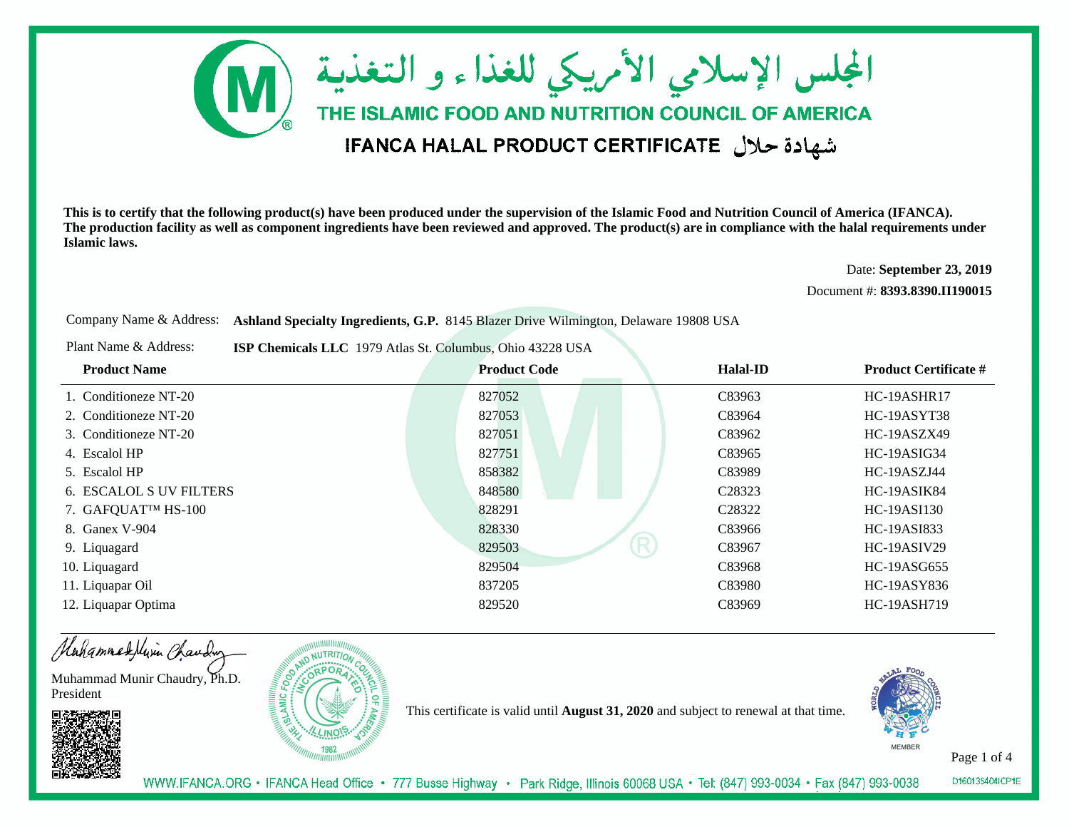

Date: **September 23, 2019**

Document #: **8393.8390.II190015**

Company Name & Address: **Ashland Specialty Ingredients, G.P.** 8145 Blazer Drive Wilmington, Delaware 19808 USA

Plant Name & Address:**ISP Chemicals LLC** 1979 Atlas St. Columbus, Ohio 43228 USA

| <b>Product Name</b>            | <b>Product Code</b> | <b>Halal-ID</b>    | <b>Product Certificate #</b> |
|--------------------------------|---------------------|--------------------|------------------------------|
| 1. Conditioneze NT-20          | 827052              | C83963             | HC-19ASHR17                  |
| 2. Conditioneze NT-20          | 827053              | C83964             | HC-19ASYT38                  |
| 3. Conditioneze NT-20          | 827051              | C83962             | HC-19ASZX49                  |
| 4. Escalol HP                  | 827751              | C83965             | HC-19ASIG34                  |
| 5. Escalol HP                  | 858382              | C83989             | HC-19ASZJ44                  |
| <b>6. ESCALOL S UV FILTERS</b> | 848580              | C <sub>28323</sub> | HC-19ASIK84                  |
| 7. GAFQUAT™ HS-100             | 828291              | C <sub>28322</sub> | HC-19ASI130                  |
| 8. Ganex V-904                 | 828330              | C83966             | HC-19ASI833                  |
| 9. Liquagard                   | 829503              | R<br>C83967        | HC-19ASIV29                  |
| 10. Liquagard                  | 829504              | C83968             | HC-19ASG655                  |
| 11. Liquapar Oil               | 837205              | C83980             | <b>HC-19ASY836</b>           |
| 12. Liquapar Optima            | 829520              | C83969             | <b>HC-19ASH719</b>           |

Hahammadelivin Chauding

Muhammad Munir Chaudry, Ph.D.President





This certificate is valid until **August 31, 2020** and subject to renewal at that time.



Page 1 of 4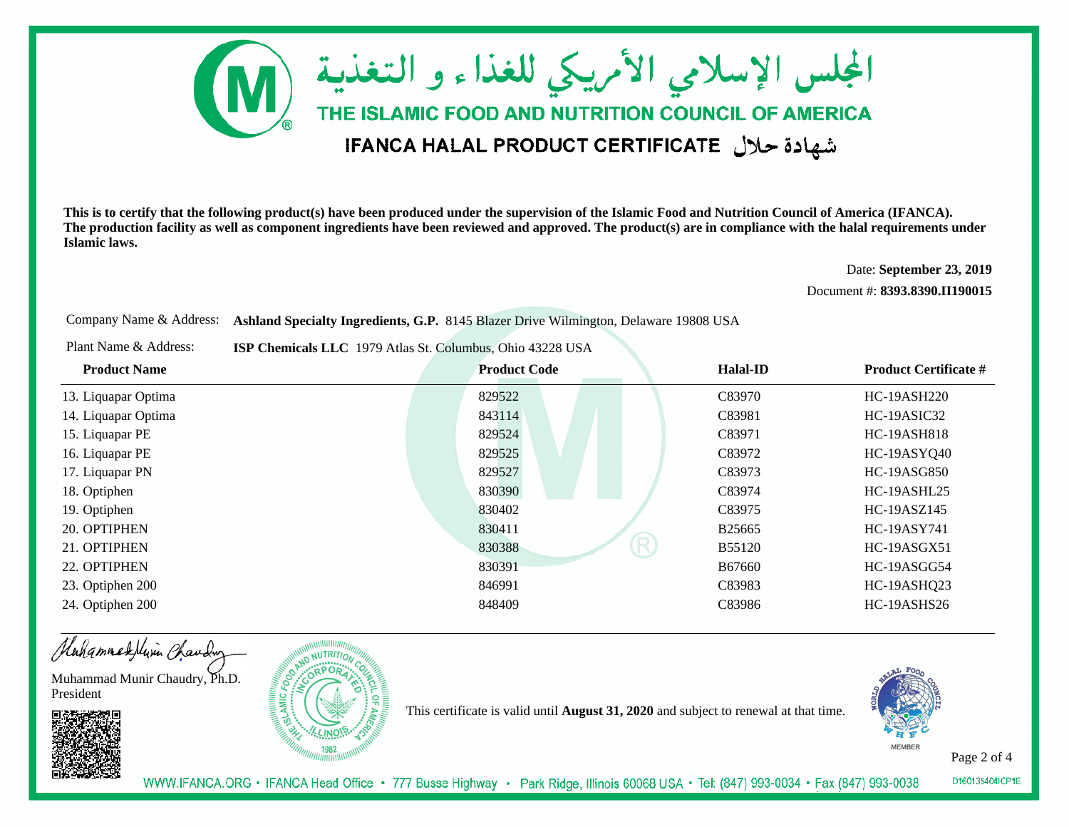

Date: **September 23, 2019**

Document #: **8393.8390.II190015**

Company Name & Address: **Ashland Specialty Ingredients, G.P.** 8145 Blazer Drive Wilmington, Delaware 19808 USA

Plant Name & Address:**ISP Chemicals LLC** 1979 Atlas St. Columbus, Ohio 43228 USA

| <b>Product Name</b> | <b>Product Code</b> | <b>Halal-ID</b>    | <b>Product Certificate #</b> |
|---------------------|---------------------|--------------------|------------------------------|
| 13. Liquapar Optima | 829522              | C83970             | <b>HC-19ASH220</b>           |
| 14. Liquapar Optima | 843114              | C83981             | HC-19ASIC32                  |
| 15. Liquapar PE     | 829524              | C83971             | <b>HC-19ASH818</b>           |
| 16. Liquapar PE     | 829525              | C83972             | HC-19ASYQ40                  |
| 17. Liquapar PN     | 829527              | C83973             | HC-19ASG850                  |
| 18. Optiphen        | 830390              | C83974             | HC-19ASHL25                  |
| 19. Optiphen        | 830402              | C83975             | HC-19ASZ145                  |
| 20. OPTIPHEN        | 830411              | B <sub>25665</sub> | <b>HC-19ASY741</b>           |
| 21. OPTIPHEN        | R<br>830388         | <b>B55120</b>      | HC-19ASGX51                  |
| 22. OPTIPHEN        | 830391              | B67660             | HC-19ASGG54                  |
| 23. Optiphen 200    | 846991              | C83983             | HC-19ASHQ23                  |
| 24. Optiphen 200    | 848409              | C83986             | HC-19ASHS26                  |

Hahammadelivin Chauding

Muhammad Munir Chaudry, Ph.D.President





This certificate is valid until **August 31, 2020** and subject to renewal at that time.



Page 2 of 4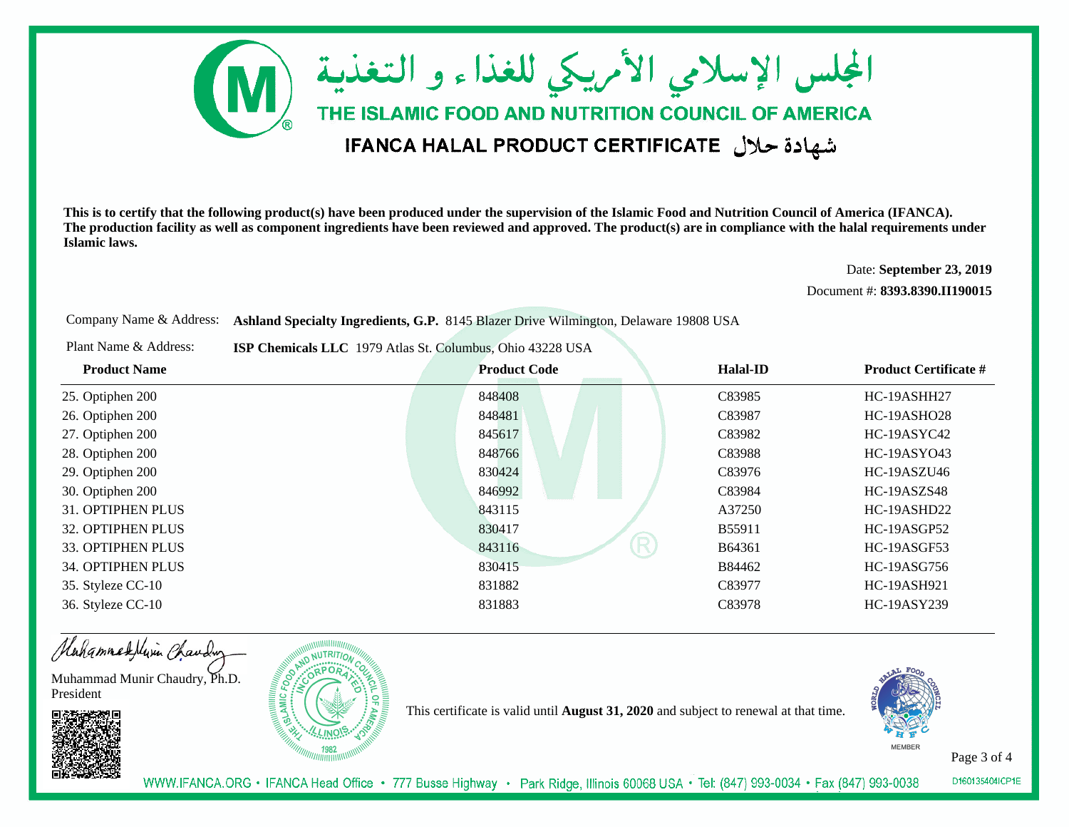

Date: **September 23, 2019**

Document #: **8393.8390.II190015**

Company Name & Address: **Ashland Specialty Ingredients, G.P.** 8145 Blazer Drive Wilmington, Delaware 19808 USA

Plant Name & Address:**ISP Chemicals LLC** 1979 Atlas St. Columbus, Ohio 43228 USA

| <b>Product Name</b> | <b>Product Code</b> | <b>Halal-ID</b> | <b>Product Certificate #</b> |
|---------------------|---------------------|-----------------|------------------------------|
| 25. Optiphen 200    | 848408              | C83985          | HC-19ASHH27                  |
| 26. Optiphen 200    | 848481              | C83987          | HC-19ASHO28                  |
| 27. Optiphen 200    | 845617              | C83982          | HC-19ASYC42                  |
| 28. Optiphen 200    | 848766              | C83988          | <b>HC-19ASY043</b>           |
| 29. Optiphen 200    | 830424              | C83976          | HC-19ASZU46                  |
| 30. Optiphen 200    | 846992              | C83984          | HC-19ASZS48                  |
| 31. OPTIPHEN PLUS   | 843115              | A37250          | HC-19ASHD22                  |
| 32. OPTIPHEN PLUS   | 830417              | B55911          | HC-19ASGP52                  |
| 33. OPTIPHEN PLUS   | 843116              | R<br>B64361     | HC-19ASGF53                  |
| 34. OPTIPHEN PLUS   | 830415              | B84462          | HC-19ASG756                  |
| 35. Styleze CC-10   | 831882              | C83977          | <b>HC-19ASH921</b>           |
| 36. Styleze CC-10   | 831883              | C83978          | HC-19ASY239                  |

Hahammadelivin Chauding

Muhammad Munir Chaudry, Ph.D.President





This certificate is valid until **August 31, 2020** and subject to renewal at that time.



Page 3 of 4